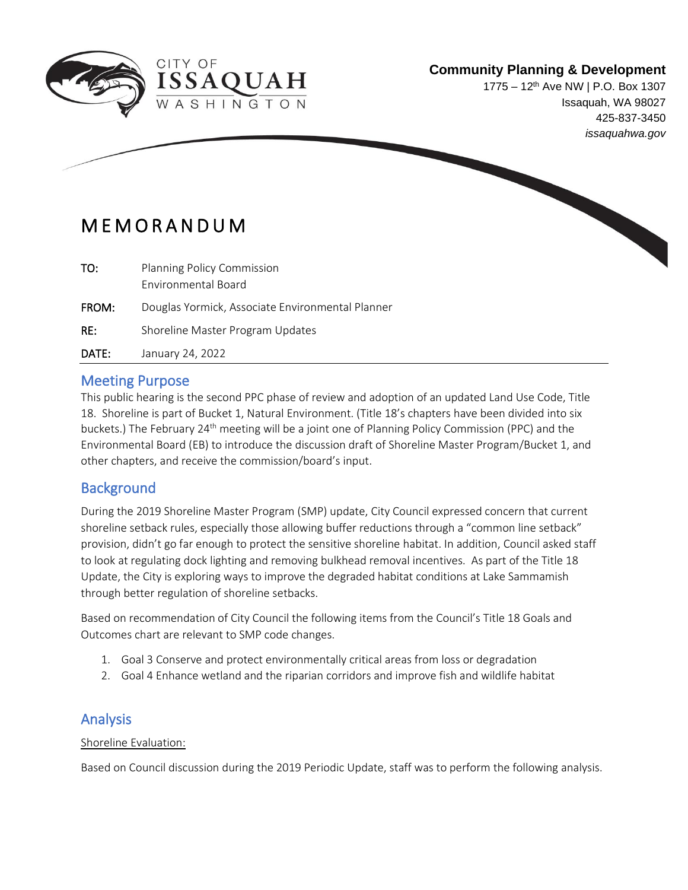

 $\overline{a}$ 

# **Community Planning & Development**

1775 – 12<sup>th</sup> Ave NW | P.O. Box 1307 Issaquah, WA 98027 425-837-3450 *issaquahwa.gov*

# M E M O R A N D U M

| TO:   | <b>Planning Policy Commission</b>                |
|-------|--------------------------------------------------|
|       | Environmental Board                              |
| FROM: | Douglas Yormick, Associate Environmental Planner |
| RE:   | Shoreline Master Program Updates                 |
| DATE: | January 24, 2022                                 |

**QUAH** 

### Meeting Purpose

This public hearing is the second PPC phase of review and adoption of an updated Land Use Code, Title 18. Shoreline is part of Bucket 1, Natural Environment. (Title 18's chapters have been divided into six buckets.) The February 24th meeting will be a joint one of Planning Policy Commission (PPC) and the Environmental Board (EB) to introduce the discussion draft of Shoreline Master Program/Bucket 1, and other chapters, and receive the commission/board's input.

## **Background**

During the 2019 Shoreline Master Program (SMP) update, City Council expressed concern that current shoreline setback rules, especially those allowing buffer reductions through a "common line setback" provision, didn't go far enough to protect the sensitive shoreline habitat. In addition, Council asked staff to look at regulating dock lighting and removing bulkhead removal incentives. As part of the Title 18 Update, the City is exploring ways to improve the degraded habitat conditions at Lake Sammamish through better regulation of shoreline setbacks.

Based on recommendation of City Council the following items from the Council's Title 18 Goals and Outcomes chart are relevant to SMP code changes.

- 1. Goal 3 Conserve and protect environmentally critical areas from loss or degradation
- 2. Goal 4 Enhance wetland and the riparian corridors and improve fish and wildlife habitat

# Analysis

#### Shoreline Evaluation:

Based on Council discussion during the 2019 Periodic Update, staff was to perform the following analysis.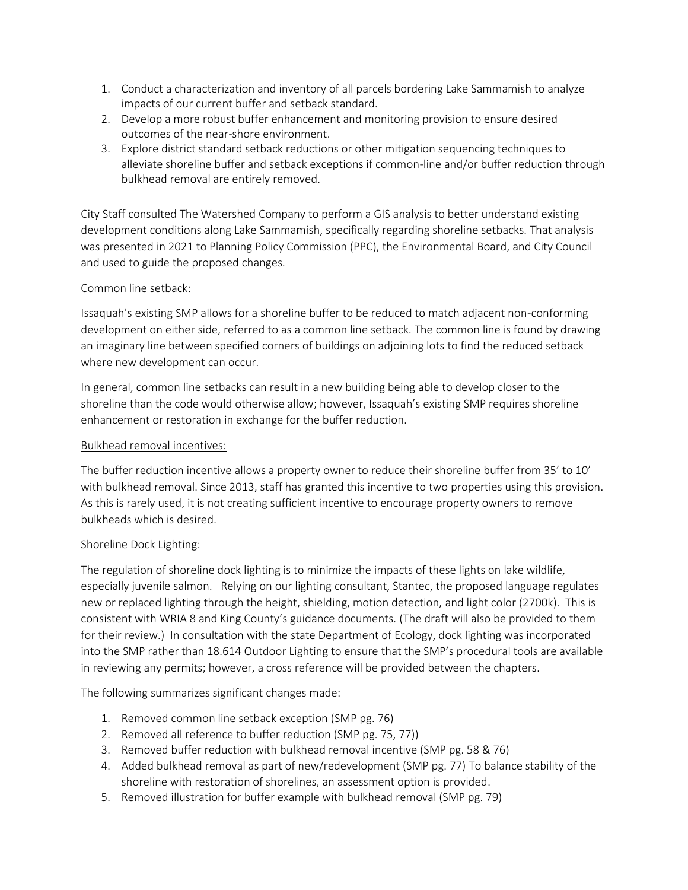- 1. Conduct a characterization and inventory of all parcels bordering Lake Sammamish to analyze impacts of our current buffer and setback standard.
- 2. Develop a more robust buffer enhancement and monitoring provision to ensure desired outcomes of the near-shore environment.
- 3. Explore district standard setback reductions or other mitigation sequencing techniques to alleviate shoreline buffer and setback exceptions if common-line and/or buffer reduction through bulkhead removal are entirely removed.

City Staff consulted The Watershed Company to perform a GIS analysis to better understand existing development conditions along Lake Sammamish, specifically regarding shoreline setbacks. That analysis was presented in 2021 to Planning Policy Commission (PPC), the Environmental Board, and City Council and used to guide the proposed changes.

#### Common line setback:

Issaquah's existing SMP allows for a shoreline buffer to be reduced to match adjacent non-conforming development on either side, referred to as a common line setback. The common line is found by drawing an imaginary line between specified corners of buildings on adjoining lots to find the reduced setback where new development can occur.

In general, common line setbacks can result in a new building being able to develop closer to the shoreline than the code would otherwise allow; however, Issaquah's existing SMP requires shoreline enhancement or restoration in exchange for the buffer reduction.

#### Bulkhead removal incentives:

The buffer reduction incentive allows a property owner to reduce their shoreline buffer from 35' to 10' with bulkhead removal. Since 2013, staff has granted this incentive to two properties using this provision. As this is rarely used, it is not creating sufficient incentive to encourage property owners to remove bulkheads which is desired.

#### Shoreline Dock Lighting:

The regulation of shoreline dock lighting is to minimize the impacts of these lights on lake wildlife, especially juvenile salmon. Relying on our lighting consultant, Stantec, the proposed language regulates new or replaced lighting through the height, shielding, motion detection, and light color (2700k). This is consistent with WRIA 8 and King County's guidance documents. (The draft will also be provided to them for their review.) In consultation with the state Department of Ecology, dock lighting was incorporated into the SMP rather than 18.614 Outdoor Lighting to ensure that the SMP's procedural tools are available in reviewing any permits; however, a cross reference will be provided between the chapters.

The following summarizes significant changes made:

- 1. Removed common line setback exception (SMP pg. 76)
- 2. Removed all reference to buffer reduction (SMP pg. 75, 77))
- 3. Removed buffer reduction with bulkhead removal incentive (SMP pg. 58 & 76)
- 4. Added bulkhead removal as part of new/redevelopment (SMP pg. 77) To balance stability of the shoreline with restoration of shorelines, an assessment option is provided.
- 5. Removed illustration for buffer example with bulkhead removal (SMP pg. 79)